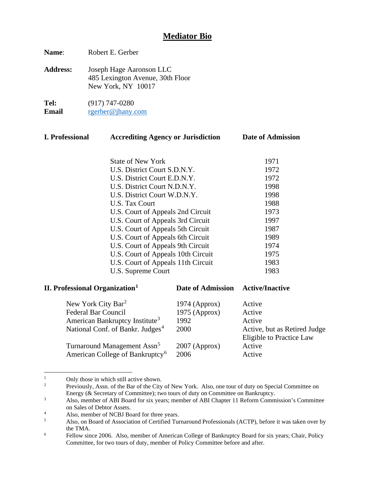# **Mediator Bio**

**Name**: Robert E. Gerber

**Address:** Joseph Hage Aaronson LLC 485 Lexington Avenue, 30th Floor New York, NY 10017

**Tel:** (917) 747-0280<br>**Email regional regional Email** [rgerber@jhany.com](mailto:rgerber@jhany.com)

| <b>I. Professional</b>                                                                                                                                                                                        | <b>Accrediting Agency or Jurisdiction</b>                              |                          | Date of Admission      |
|---------------------------------------------------------------------------------------------------------------------------------------------------------------------------------------------------------------|------------------------------------------------------------------------|--------------------------|------------------------|
|                                                                                                                                                                                                               |                                                                        |                          |                        |
|                                                                                                                                                                                                               | <b>State of New York</b>                                               |                          | 1971                   |
|                                                                                                                                                                                                               | U.S. District Court S.D.N.Y.                                           |                          | 1972                   |
|                                                                                                                                                                                                               | U.S. District Court E.D.N.Y.                                           |                          | 1972                   |
|                                                                                                                                                                                                               | U.S. District Court N.D.N.Y.                                           |                          | 1998                   |
|                                                                                                                                                                                                               | U.S. District Court W.D.N.Y.                                           |                          | 1998                   |
| U.S. Tax Court                                                                                                                                                                                                |                                                                        | 1988                     |                        |
|                                                                                                                                                                                                               | U.S. Court of Appeals 2nd Circuit<br>U.S. Court of Appeals 3rd Circuit |                          | 1973                   |
|                                                                                                                                                                                                               |                                                                        |                          | 1997                   |
| U.S. Court of Appeals 5th Circuit<br>U.S. Court of Appeals 6th Circuit<br>U.S. Court of Appeals 9th Circuit<br>U.S. Court of Appeals 10th Circuit<br>U.S. Court of Appeals 11th Circuit<br>U.S. Supreme Court |                                                                        | 1987                     |                        |
|                                                                                                                                                                                                               |                                                                        | 1989                     |                        |
|                                                                                                                                                                                                               |                                                                        | 1974                     |                        |
|                                                                                                                                                                                                               |                                                                        | 1975                     |                        |
|                                                                                                                                                                                                               |                                                                        | 1983                     |                        |
|                                                                                                                                                                                                               |                                                                        | 1983                     |                        |
| <b>II. Professional Organization</b> <sup>1</sup>                                                                                                                                                             |                                                                        | <b>Date of Admission</b> | <b>Active/Inactive</b> |
| New York City Bar <sup>2</sup>                                                                                                                                                                                |                                                                        | $1974$ (Approx)          | Active                 |
| <b>Federal Bar Council</b>                                                                                                                                                                                    |                                                                        | 1975 (Approx)            | Active                 |
| American Bankruptcy Institute <sup>3</sup>                                                                                                                                                                    |                                                                        | 1992                     | Active                 |

| <i>Exhibition Dumangue, montane</i>          | .               | . <del>.</del>               |
|----------------------------------------------|-----------------|------------------------------|
| National Conf. of Bankr. Judges <sup>4</sup> | 2000            | Active, but as Retired Judge |
|                                              |                 | Eligible to Practice Law     |
| Turnaround Management Assn <sup>5</sup>      | $2007$ (Approx) | Active                       |
| American College of Bankruptcy <sup>6</sup>  | 2006            | Active                       |

<span id="page-0-1"></span><span id="page-0-0"></span><sup>&</sup>lt;sup>1</sup> Only those in which still active shown.<br><sup>2</sup> Prayiously,  $\Delta$ ssn, of the Bar of the City

<sup>2</sup> Previously, Assn. of the Bar of the City of New York. Also, one tour of duty on Special Committee on Energy (& Secretary of Committee); two tours of duty on Committee on Bankruptcy.

<span id="page-0-2"></span><sup>&</sup>lt;sup>3</sup> Also, member of ABI Board for six years; member of ABI Chapter 11 Reform Commission's Committee on Sales of Debtor Assets.

<span id="page-0-3"></span><sup>&</sup>lt;sup>4</sup> Also, member of NCBJ Board for three years.<br> $\frac{5}{2}$  Also, on Board of Association of Certified Tur

<span id="page-0-4"></span><sup>5</sup> Also, on Board of Association of Certified Turnaround Professionals (ACTP), before it was taken over by the TMA.

<span id="page-0-5"></span><sup>6</sup> Fellow since 2006. Also, member of American College of Bankruptcy Board for six years; Chair, Policy Committee, for two tours of duty, member of Policy Committee before and after.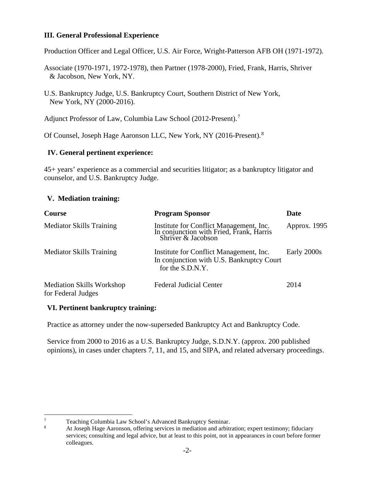### **III. General Professional Experience**

Production Officer and Legal Officer, U.S. Air Force, Wright-Patterson AFB OH (1971-1972).

Associate (1970-1971, 1972-1978), then Partner (1978-2000), Fried, Frank, Harris, Shriver & Jacobson, New York, NY.

Adjunct Professor of Law, Columbia Law School (2012-Present).<sup>[7](#page-1-0)</sup>

Of Counsel, Joseph Hage Aaronson LLC, New York, NY (2016-Present).<sup>[8](#page-1-1)</sup>

#### **IV. General pertinent experience:**

45+ years' experience as a commercial and securities litigator; as a bankruptcy litigator and counselor, and U.S. Bankruptcy Judge.

#### **V. Mediation training:**

| <b>Course</b>                                   | <b>Program Sponsor</b>                                                                                    | Date         |
|-------------------------------------------------|-----------------------------------------------------------------------------------------------------------|--------------|
| <b>Mediator Skills Training</b>                 | Institute for Conflict Management, Inc.<br>In conjunction with Fried, Frank, Harris<br>Shriver & Jacobson | Approx. 1995 |
| <b>Mediator Skills Training</b>                 | Institute for Conflict Management, Inc.<br>In conjunction with U.S. Bankruptcy Court<br>for the S.D.N.Y.  | Early 2000s  |
| Mediation Skills Workshop<br>for Federal Judges | <b>Federal Judicial Center</b>                                                                            | 2014         |

## **VI. Pertinent bankruptcy training:**

Practice as attorney under the now-superseded Bankruptcy Act and Bankruptcy Code.

Service from 2000 to 2016 as a U.S. Bankruptcy Judge, S.D.N.Y. (approx. 200 published opinions), in cases under chapters 7, 11, and 15, and SIPA, and related adversary proceedings.

U.S. Bankruptcy Judge, U.S. Bankruptcy Court, Southern District of New York, New York, NY (2000-2016).

<span id="page-1-0"></span><sup>&</sup>lt;sup>7</sup><br>Teaching Columbia Law School's Advanced Bankruptcy Seminar.<br>At Joseph Hage Aaronson, offering services in mediation and arbitr

<span id="page-1-1"></span><sup>8</sup> At Joseph Hage Aaronson, offering services in mediation and arbitration; expert testimony; fiduciary services; consulting and legal advice, but at least to this point, not in appearances in court before former colleagues.